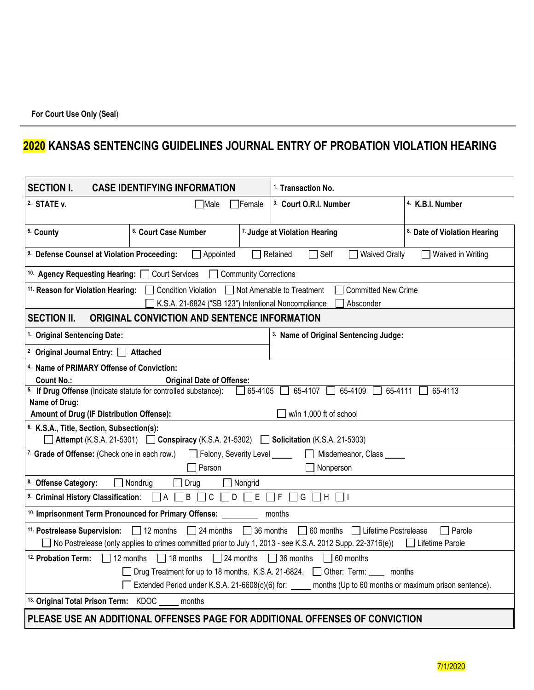## **2020 KANSAS SENTENCING GUIDELINES JOURNAL ENTRY OF PROBATION VIOLATION HEARING**

| <b>SECTION I.</b><br><b>CASE IDENTIFYING INFORMATION</b>                                                                                                                                                                                                                                   | <sup>1.</sup> Transaction No.                    |                              |  |  |  |  |
|--------------------------------------------------------------------------------------------------------------------------------------------------------------------------------------------------------------------------------------------------------------------------------------------|--------------------------------------------------|------------------------------|--|--|--|--|
| <sup>2.</sup> STATE v.<br>Male<br>Female                                                                                                                                                                                                                                                   | <sup>3.</sup> Court O.R.I. Number                | <sup>4.</sup> K.B.I. Number  |  |  |  |  |
| 5. County<br><sup>6.</sup> Court Case Number                                                                                                                                                                                                                                               | 7. Judge at Violation Hearing                    | 8. Date of Violation Hearing |  |  |  |  |
| <sup>9.</sup> Defense Counsel at Violation Proceeding:<br>$\Box$ Appointed<br>Retained<br>Self<br><b>Waived Orally</b><br>Waived in Writing<br>$\mathsf{L}$                                                                                                                                |                                                  |                              |  |  |  |  |
| 10. Agency Requesting Hearing: Court Services<br>Community Corrections                                                                                                                                                                                                                     |                                                  |                              |  |  |  |  |
| 11. Reason for Violation Hearing: Condition Violation Not Amenable to Treatment<br><b>Committed New Crime</b><br>K.S.A. 21-6824 ("SB 123") Intentional Noncompliance<br>Absconder                                                                                                          |                                                  |                              |  |  |  |  |
| <b>SECTION II.</b><br>ORIGINAL CONVICTION AND SENTENCE INFORMATION                                                                                                                                                                                                                         |                                                  |                              |  |  |  |  |
| <sup>1.</sup> Original Sentencing Date:                                                                                                                                                                                                                                                    | <sup>3.</sup> Name of Original Sentencing Judge: |                              |  |  |  |  |
| <sup>2</sup> Original Journal Entry: 4 Attached                                                                                                                                                                                                                                            |                                                  |                              |  |  |  |  |
| 4. Name of PRIMARY Offense of Conviction:                                                                                                                                                                                                                                                  |                                                  |                              |  |  |  |  |
| <b>Count No.:</b><br><b>Original Date of Offense:</b><br><sup>5.</sup> If Drug Offense (Indicate statute for controlled substance):<br>$\Box$ 65-4105 $\Box$                                                                                                                               | $65-4107$ 65-4109<br>65-4111                     | 65-4113                      |  |  |  |  |
| Name of Drug:                                                                                                                                                                                                                                                                              |                                                  |                              |  |  |  |  |
| Amount of Drug (IF Distribution Offense):                                                                                                                                                                                                                                                  | $\Box$ w/in 1,000 ft of school                   |                              |  |  |  |  |
| <sup>6.</sup> K.S.A., Title, Section, Subsection(s):<br><b>Attempt</b> (K.S.A. 21-5301) <b>Conspiracy</b> (K.S.A. 21-5302) <b>Consideration</b> (K.S.A. 21-5303)                                                                                                                           |                                                  |                              |  |  |  |  |
| 7. Grade of Offense: (Check one in each row.)<br>Felony, Severity Level _____                                                                                                                                                                                                              | Misdemeanor, Class<br>$\mathbf{L}$               |                              |  |  |  |  |
| $\neg$ Person<br>Nonperson                                                                                                                                                                                                                                                                 |                                                  |                              |  |  |  |  |
| 8. Offense Category:<br>$\Box$ Nondrug<br>Drug<br>Nongrid                                                                                                                                                                                                                                  |                                                  |                              |  |  |  |  |
| $\Box A \Box B \Box C \Box D \Box E \Box F \Box G \Box H \Box I$<br><sup>9.</sup> Criminal History Classification:                                                                                                                                                                         |                                                  |                              |  |  |  |  |
| <sup>10.</sup> Imprisonment Term Pronounced for Primary Offense:<br>months                                                                                                                                                                                                                 |                                                  |                              |  |  |  |  |
| $\Box$ 12 months<br>$\Box$ 24 months $\Box$ 36 months<br>□ 60 months □ Lifetime Postrelease<br><sup>11.</sup> Postrelease Supervision:<br>$\Box$ Parole<br>No Postrelease (only applies to crimes committed prior to July 1, 2013 - see K.S.A. 2012 Supp. 22-3716(e))<br>□ Lifetime Parole |                                                  |                              |  |  |  |  |
| $\Box$ 18 months $\Box$ 24 months $\Box$ 36 months $\Box$ 60 months<br><sup>12.</sup> Probation Term: $\Box$ 12 months                                                                                                                                                                     |                                                  |                              |  |  |  |  |
| Drug Treatment for up to 18 months. K.S.A. 21-6824. 10 Other: Term: months                                                                                                                                                                                                                 |                                                  |                              |  |  |  |  |
| Extended Period under K.S.A. 21-6608(c)(6) for: _____ months (Up to 60 months or maximum prison sentence).                                                                                                                                                                                 |                                                  |                              |  |  |  |  |
| 13. Original Total Prison Term: KDOC<br>months                                                                                                                                                                                                                                             |                                                  |                              |  |  |  |  |
| PLEASE USE AN ADDITIONAL OFFENSES PAGE FOR ADDITIONAL OFFENSES OF CONVICTION                                                                                                                                                                                                               |                                                  |                              |  |  |  |  |

7/1/2020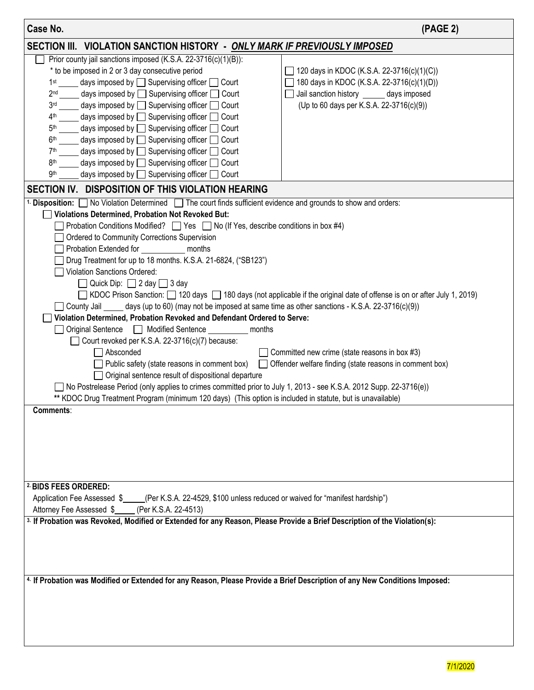| Case No.                                                                                                                                                                                                                                                                                                                                                                                                                                                                                                                                                                                                                                                                                                                                                                                                                                                                                                                                                                                                                                                                                                                                                                                                                                                                                                                                                                                                                                                                                             | (PAGE 2)                                                                                                                                                                          |  |  |  |  |  |
|------------------------------------------------------------------------------------------------------------------------------------------------------------------------------------------------------------------------------------------------------------------------------------------------------------------------------------------------------------------------------------------------------------------------------------------------------------------------------------------------------------------------------------------------------------------------------------------------------------------------------------------------------------------------------------------------------------------------------------------------------------------------------------------------------------------------------------------------------------------------------------------------------------------------------------------------------------------------------------------------------------------------------------------------------------------------------------------------------------------------------------------------------------------------------------------------------------------------------------------------------------------------------------------------------------------------------------------------------------------------------------------------------------------------------------------------------------------------------------------------------|-----------------------------------------------------------------------------------------------------------------------------------------------------------------------------------|--|--|--|--|--|
| SECTION III. VIOLATION SANCTION HISTORY - ONLY MARK IF PREVIOUSLY IMPOSED                                                                                                                                                                                                                                                                                                                                                                                                                                                                                                                                                                                                                                                                                                                                                                                                                                                                                                                                                                                                                                                                                                                                                                                                                                                                                                                                                                                                                            |                                                                                                                                                                                   |  |  |  |  |  |
| Prior county jail sanctions imposed (K.S.A. 22-3716(c)(1)(B)):<br>* to be imposed in 2 or 3 day consecutive period<br>days imposed by $\Box$ Supervising officer $\Box$ Court<br>1 <sup>st</sup><br>days imposed by $\Box$ Supervising officer $\Box$ Court<br>2 <sub>nd</sub><br>days imposed by □ Supervising officer □ Court<br>3 <sub>rd</sub><br>days imposed by $\Box$ Supervising officer $\Box$<br>4 <sup>th</sup><br>Court<br>days imposed by □ Supervising officer □ Court<br>5 <sup>th</sup><br>days imposed by $\Box$ Supervising officer $\Box$ Court<br>6 <sup>th</sup><br>days imposed by $\Box$ Supervising officer $\Box$ Court<br>7 <sup>th</sup><br>days imposed by $\Box$ Supervising officer $\Box$ Court<br>8 <sup>th</sup><br>days imposed by $\Box$ Supervising officer $\Box$ Court<br>9 <sup>th</sup>                                                                                                                                                                                                                                                                                                                                                                                                                                                                                                                                                                                                                                                                      | 120 days in KDOC (K.S.A. 22-3716(c)(1)(C))<br>180 days in KDOC (K.S.A. 22-3716(c)(1)(D))<br>Jail sanction history ______ days imposed<br>(Up to 60 days per K.S.A. 22-3716(c)(9)) |  |  |  |  |  |
|                                                                                                                                                                                                                                                                                                                                                                                                                                                                                                                                                                                                                                                                                                                                                                                                                                                                                                                                                                                                                                                                                                                                                                                                                                                                                                                                                                                                                                                                                                      |                                                                                                                                                                                   |  |  |  |  |  |
| SECTION IV. DISPOSITION OF THIS VIOLATION HEARING<br><sup>1</sup> Disposition: No Violation Determined The court finds sufficient evidence and grounds to show and orders:<br>Violations Determined, Probation Not Revoked But:<br>Probation Conditions Modified? $\Box$ Yes $\Box$ No (If Yes, describe conditions in box #4)<br>Ordered to Community Corrections Supervision<br>Probation Extended for<br>months<br>Drug Treatment for up to 18 months. K.S.A. 21-6824, ("SB123")<br>Violation Sanctions Ordered:<br>Quick Dip: $\Box$ 2 day $\Box$ 3 day<br>KDOC Prison Sanction: □ 120 days □ 180 days (not applicable if the original date of offense is on or after July 1, 2019)<br>County Jail _____ days (up to 60) (may not be imposed at same time as other sanctions - K.S.A. 22-3716(c)(9))<br>Violation Determined, Probation Revoked and Defendant Ordered to Serve:<br>Original Sentence   Modified Sentence   Modified Sentence<br>months<br>Court revoked per K.S.A. 22-3716(c)(7) because:<br>Absconded<br>$\Box$ Committed new crime (state reasons in box #3)<br>Public safety (state reasons in comment box)<br>Offender welfare finding (state reasons in comment box)<br>Original sentence result of dispositional departure<br>No Postrelease Period (only applies to crimes committed prior to July 1, 2013 - see K.S.A. 2012 Supp. 22-3716(e))<br>** KDOC Drug Treatment Program (minimum 120 days) (This option is included in statute, but is unavailable)<br>Comments: |                                                                                                                                                                                   |  |  |  |  |  |
| 2. BIDS FEES ORDERED:<br>Application Fee Assessed \$ _____(Per K.S.A. 22-4529, \$100 unless reduced or waived for "manifest hardship")<br>Attorney Fee Assessed \$_____(Per K.S.A. 22-4513)                                                                                                                                                                                                                                                                                                                                                                                                                                                                                                                                                                                                                                                                                                                                                                                                                                                                                                                                                                                                                                                                                                                                                                                                                                                                                                          |                                                                                                                                                                                   |  |  |  |  |  |
| <sup>3.</sup> If Probation was Revoked, Modified or Extended for any Reason, Please Provide a Brief Description of the Violation(s):                                                                                                                                                                                                                                                                                                                                                                                                                                                                                                                                                                                                                                                                                                                                                                                                                                                                                                                                                                                                                                                                                                                                                                                                                                                                                                                                                                 |                                                                                                                                                                                   |  |  |  |  |  |
| 4. If Probation was Modified or Extended for any Reason, Please Provide a Brief Description of any New Conditions Imposed:                                                                                                                                                                                                                                                                                                                                                                                                                                                                                                                                                                                                                                                                                                                                                                                                                                                                                                                                                                                                                                                                                                                                                                                                                                                                                                                                                                           |                                                                                                                                                                                   |  |  |  |  |  |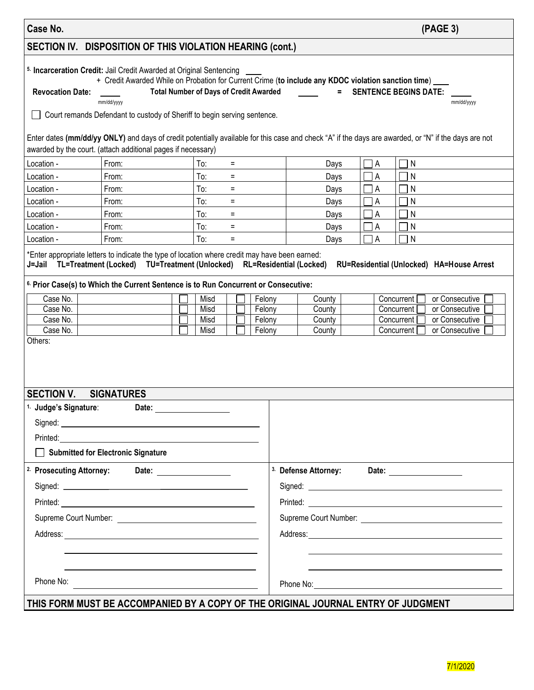| Case No.                                                                                                                                                                                                                                                                                                                                                                                                                                                                                                                                                                                                          |                                                                                                      |                                                                                                                                                                                                                                                                                                                                                          |                                                                                                                                                      | (PAGE 3)                                                                                                          |  |  |  |
|-------------------------------------------------------------------------------------------------------------------------------------------------------------------------------------------------------------------------------------------------------------------------------------------------------------------------------------------------------------------------------------------------------------------------------------------------------------------------------------------------------------------------------------------------------------------------------------------------------------------|------------------------------------------------------------------------------------------------------|----------------------------------------------------------------------------------------------------------------------------------------------------------------------------------------------------------------------------------------------------------------------------------------------------------------------------------------------------------|------------------------------------------------------------------------------------------------------------------------------------------------------|-------------------------------------------------------------------------------------------------------------------|--|--|--|
| SECTION IV. DISPOSITION OF THIS VIOLATION HEARING (cont.)                                                                                                                                                                                                                                                                                                                                                                                                                                                                                                                                                         |                                                                                                      |                                                                                                                                                                                                                                                                                                                                                          |                                                                                                                                                      |                                                                                                                   |  |  |  |
| 5. Incarceration Credit: Jail Credit Awarded at Original Sentencing<br>+ Credit Awarded While on Probation for Current Crime (to include any KDOC violation sanction time)<br><b>Revocation Date:</b><br><b>Total Number of Days of Credit Awarded</b><br>= SENTENCE BEGINS DATE:<br>mm/dd/yyyy<br>mm/dd/yyyy<br>Court remands Defendant to custody of Sheriff to begin serving sentence.<br>Enter dates (mm/dd/yy ONLY) and days of credit potentially available for this case and check "A" if the days are awarded, or "N" if the days are not<br>awarded by the court. (attach additional pages if necessary) |                                                                                                      |                                                                                                                                                                                                                                                                                                                                                          |                                                                                                                                                      |                                                                                                                   |  |  |  |
| Location -<br>Location -<br>Location -<br>Location -<br>Location -<br>Location -<br>Location -                                                                                                                                                                                                                                                                                                                                                                                                                                                                                                                    | From:<br>From:<br>From:<br>From:<br>From:<br>From:<br>From:                                          | To:<br>$=$<br>To:<br>$=$<br>To:<br>$\equiv$<br>To:<br>$=$<br>To:<br>$\equiv$<br>To:<br>$=$<br>To:<br>$=$                                                                                                                                                                                                                                                 | $\Box$ A<br>Days<br>$\overline{A}$<br>Days<br>$\Box$ A<br>Days<br>$\Box$ A<br>Days<br>$\Box$ A<br>Days<br>$\Box$ A<br>Days<br>$\overline{A}$<br>Days | ${\sf N}$<br>N<br>N<br>N<br>N<br>N<br>$\mathsf{N}$                                                                |  |  |  |
| Case No.<br>Case No.<br>Case No.<br>Case No.<br>Others:                                                                                                                                                                                                                                                                                                                                                                                                                                                                                                                                                           |                                                                                                      | *Enter appropriate letters to indicate the type of location where credit may have been earned:<br>J=Jail TL=Treatment (Locked) TU=Treatment (Unlocked) RL=Residential (Locked)<br><sup>6.</sup> Prior Case(s) to Which the Current Sentence is to Run Concurrent or Consecutive:<br>Misd<br>Felony<br>Misd<br>Felony<br>Misd<br>Felony<br>Misd<br>Felony | County<br>Concurrent<br>County<br>Concurrent<br>Concurrent<br>County<br>County<br>Concurrent                                                         | RU=Residential (Unlocked) HA=House Arrest<br>or Consecutive<br>or Consecutive<br>or Consecutive<br>or Consecutive |  |  |  |
| <b>SECTION V.</b><br>Judge's Signature:                                                                                                                                                                                                                                                                                                                                                                                                                                                                                                                                                                           | <b>SIGNATURES</b><br>Submitted for Electronic Signature<br><sup>2.</sup> Prosecuting Attorney: Date: | Date: <u>____________________</u>                                                                                                                                                                                                                                                                                                                        |                                                                                                                                                      |                                                                                                                   |  |  |  |
| Phone No:<br>the control of the control of the control of the control of the control of the control of the control of the control of the control of the control of the control of the control of the control of the control of the control<br>THIS FORM MUST BE ACCOMPANIED BY A COPY OF THE ORIGINAL JOURNAL ENTRY OF JUDGMENT                                                                                                                                                                                                                                                                                   |                                                                                                      |                                                                                                                                                                                                                                                                                                                                                          |                                                                                                                                                      |                                                                                                                   |  |  |  |